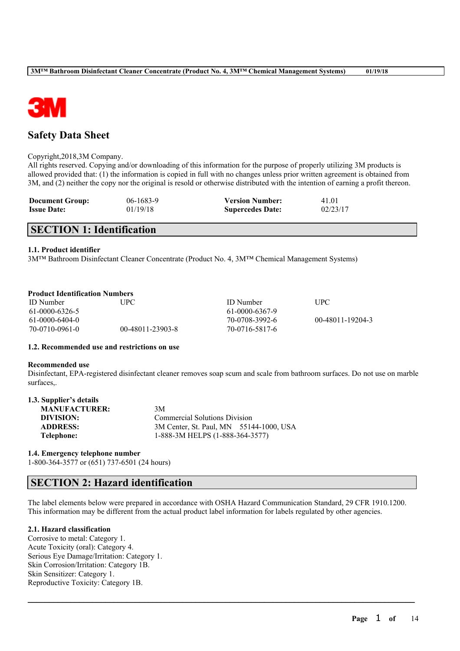

## **Safety Data Sheet**

#### Copyright,2018,3M Company.

All rights reserved. Copying and/or downloading of this information for the purpose of properly utilizing 3M products is allowed provided that: (1) the information is copied in full with no changes unless prior written agreement is obtained from 3M, and (2) neither the copy nor the original is resold or otherwise distributed with the intention of earning a profit thereon.

| <b>Document Group:</b> | 06-1683-9 | <b>Version Number:</b>  | 41.01    |
|------------------------|-----------|-------------------------|----------|
| <b>Issue Date:</b>     | 01/19/18  | <b>Supercedes Date:</b> | 02/23/17 |

## **SECTION 1: Identification**

#### **1.1. Product identifier**

3M™ Bathroom Disinfectant Cleaner Concentrate (Product No. 4, 3M™ Chemical Management Systems)

#### **Product Identification Numbers**

| <b>ID</b> Number | UPC -            | <b>ID</b> Number | <b>UPC</b>       |
|------------------|------------------|------------------|------------------|
| 61-0000-6326-5   |                  | 61-0000-6367-9   |                  |
| $61-0000-6404-0$ |                  | 70-0708-3992-6   | 00-48011-19204-3 |
| 70-0710-0961-0   | 00-48011-23903-8 | 70-0716-5817-6   |                  |

#### **1.2. Recommended use and restrictions on use**

#### **Recommended use**

Disinfectant, EPA-registered disinfectant cleaner removes soap scum and scale from bathroom surfaces. Do not use on marble surfaces,.

| 1.3. Supplier's details |                                         |  |
|-------------------------|-----------------------------------------|--|
| <b>MANUFACTURER:</b>    | 3M                                      |  |
| DIVISION:               | <b>Commercial Solutions Division</b>    |  |
| <b>ADDRESS:</b>         | 3M Center, St. Paul, MN 55144-1000, USA |  |
| Telephone:              | 1-888-3M HELPS (1-888-364-3577)         |  |

#### **1.4. Emergency telephone number** 1-800-364-3577 or (651) 737-6501 (24 hours)

## **SECTION 2: Hazard identification**

The label elements below were prepared in accordance with OSHA Hazard Communication Standard, 29 CFR 1910.1200. This information may be different from the actual product label information for labels regulated by other agencies.

 $\mathcal{L}_\mathcal{L} = \mathcal{L}_\mathcal{L} = \mathcal{L}_\mathcal{L} = \mathcal{L}_\mathcal{L} = \mathcal{L}_\mathcal{L} = \mathcal{L}_\mathcal{L} = \mathcal{L}_\mathcal{L} = \mathcal{L}_\mathcal{L} = \mathcal{L}_\mathcal{L} = \mathcal{L}_\mathcal{L} = \mathcal{L}_\mathcal{L} = \mathcal{L}_\mathcal{L} = \mathcal{L}_\mathcal{L} = \mathcal{L}_\mathcal{L} = \mathcal{L}_\mathcal{L} = \mathcal{L}_\mathcal{L} = \mathcal{L}_\mathcal{L}$ 

### **2.1. Hazard classification**

Corrosive to metal: Category 1. Acute Toxicity (oral): Category 4. Serious Eye Damage/Irritation: Category 1. Skin Corrosion/Irritation: Category 1B. Skin Sensitizer: Category 1. Reproductive Toxicity: Category 1B.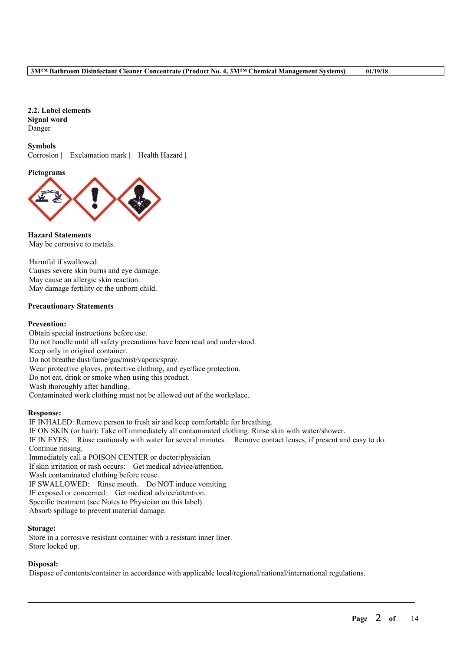#### **2.2. Label elements Signal word** Danger

## **Symbols**

Corrosion | Exclamation mark | Health Hazard |

#### **Pictograms**



**Hazard Statements** May be corrosive to metals.

Harmful if swallowed. Causes severe skin burns and eye damage. May cause an allergic skin reaction. May damage fertility or the unborn child.

#### **Precautionary Statements**

#### **Prevention:**

Obtain special instructions before use. Do not handle until all safety precautions have been read and understood. Keep only in original container. Do not breathe dust/fume/gas/mist/vapors/spray. Wear protective gloves, protective clothing, and eye/face protection. Do not eat, drink or smoke when using this product. Wash thoroughly after handling. Contaminated work clothing must not be allowed out of the workplace.

#### **Response:**

IF INHALED: Remove person to fresh air and keep comfortable for breathing. IF ON SKIN (or hair): Take off immediately all contaminated clothing. Rinse skin with water/shower. IF IN EYES: Rinse cautiously with water for several minutes. Remove contact lenses, if present and easy to do. Continue rinsing. Immediately call a POISON CENTER or doctor/physician. If skin irritation or rash occurs: Get medical advice/attention. Wash contaminated clothing before reuse. IF SWALLOWED: Rinse mouth. Do NOT induce vomiting. IF exposed or concerned: Get medical advice/attention. Specific treatment (see Notes to Physician on this label). Absorb spillage to prevent material damage.

#### **Storage:**

Store in a corrosive resistant container with a resistant inner liner. Store locked up.

#### **Disposal:**

Dispose of contents/container in accordance with applicable local/regional/national/international regulations.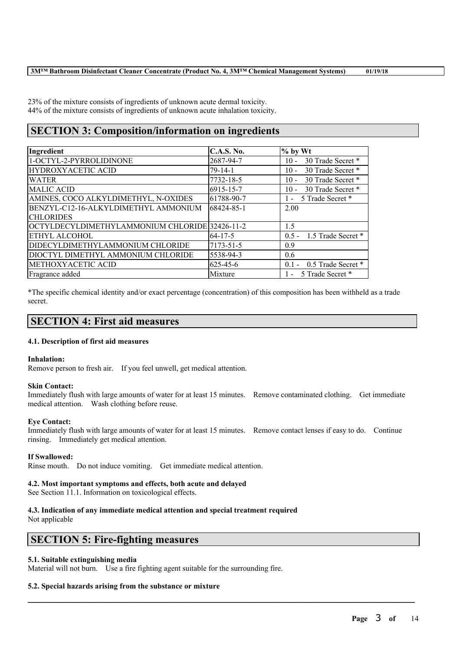23% of the mixture consists of ingredients of unknown acute dermal toxicity. 44% of the mixture consists of ingredients of unknown acute inhalation toxicity.

## **SECTION 3: Composition/information on ingredients**

| Ingredient                                     | C.A.S. No.    | $%$ by Wt                          |
|------------------------------------------------|---------------|------------------------------------|
| 1-OCTYL-2-PYRROLIDINONE                        | 2687-94-7     | 30 Trade Secret *<br>$10 -$        |
| <b>HYDROXYACETIC ACID</b>                      | $79 - 14 - 1$ | 30 Trade Secret *<br>$10 -$        |
| <b>WATER</b>                                   | 7732-18-5     | 30 Trade Secret *<br>$10 -$        |
| <b>MALIC ACID</b>                              | 6915-15-7     | 30 Trade Secret *<br>$10 -$        |
| AMINES, COCO ALKYLDIMETHYL, N-OXIDES           | 61788-90-7    | 5 Trade Secret *<br>$\sim$         |
| BENZYL-C12-16-ALKYLDIMETHYL AMMONIUM           | 68424-85-1    | 2.00                               |
| <b>CHLORIDES</b>                               |               |                                    |
| OCTYLDECYLDIMETHYLAMMONIUM CHLORIDE 32426-11-2 |               | 1.5                                |
| ETHYL ALCOHOL                                  | $64 - 17 - 5$ | 0.5 - 1.5 Trade Secret *           |
| DIDECYLDIMETHYLAMMONIUM CHLORIDE               | 7173-51-5     | 0.9                                |
| DIOCTYL DIMETHYL AMMONIUM CHLORIDE             | 5538-94-3     | 0.6                                |
| METHOXYACETIC ACID                             | 625-45-6      | 0.5 Trade Secret *<br>$01 -$       |
| Fragrance added                                | Mixture       | 5 Trade Secret *<br>$\blacksquare$ |

\*The specific chemical identity and/or exact percentage (concentration) of this composition has been withheld as a trade secret.

## **SECTION 4: First aid measures**

#### **4.1. Description of first aid measures**

#### **Inhalation:**

Remove person to fresh air. If you feel unwell, get medical attention.

#### **Skin Contact:**

Immediately flush with large amounts of water for at least 15 minutes. Remove contaminated clothing. Get immediate medical attention. Wash clothing before reuse.

### **Eye Contact:**

Immediately flush with large amounts of water for at least 15 minutes. Remove contact lenses if easy to do. Continue rinsing. Immediately get medical attention.

 $\mathcal{L}_\mathcal{L} = \mathcal{L}_\mathcal{L} = \mathcal{L}_\mathcal{L} = \mathcal{L}_\mathcal{L} = \mathcal{L}_\mathcal{L} = \mathcal{L}_\mathcal{L} = \mathcal{L}_\mathcal{L} = \mathcal{L}_\mathcal{L} = \mathcal{L}_\mathcal{L} = \mathcal{L}_\mathcal{L} = \mathcal{L}_\mathcal{L} = \mathcal{L}_\mathcal{L} = \mathcal{L}_\mathcal{L} = \mathcal{L}_\mathcal{L} = \mathcal{L}_\mathcal{L} = \mathcal{L}_\mathcal{L} = \mathcal{L}_\mathcal{L}$ 

#### **If Swallowed:**

Rinse mouth. Do not induce vomiting. Get immediate medical attention.

#### **4.2. Most important symptoms and effects, both acute and delayed**

See Section 11.1. Information on toxicological effects.

## **4.3. Indication of any immediate medical attention and special treatment required**

Not applicable

## **SECTION 5: Fire-fighting measures**

#### **5.1. Suitable extinguishing media**

Material will not burn. Use a fire fighting agent suitable for the surrounding fire.

#### **5.2. Special hazards arising from the substance or mixture**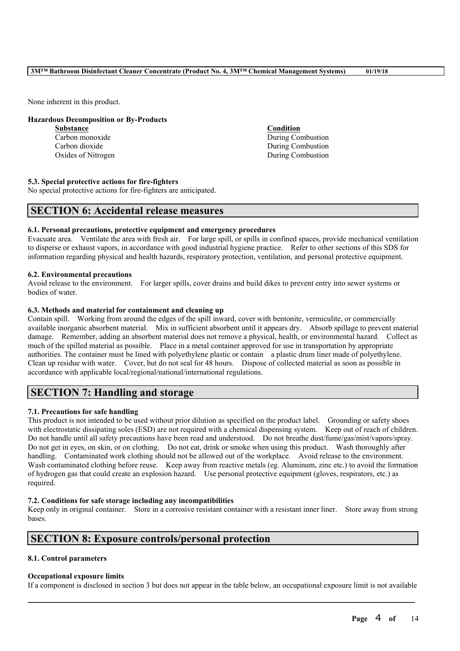None inherent in this product.

#### **Hazardous Decomposition or By-Products**

| Condition         |
|-------------------|
| During Combustion |
| During Combustion |
| During Combustion |
|                   |

#### **5.3. Special protective actions for fire-fighters**

No special protective actions for fire-fighters are anticipated.

## **SECTION 6: Accidental release measures**

#### **6.1. Personal precautions, protective equipment and emergency procedures**

Evacuate area. Ventilate the area with fresh air. For large spill, or spills in confined spaces, provide mechanical ventilation to disperse or exhaust vapors, in accordance with good industrial hygiene practice. Refer to other sections of this SDS for information regarding physical and health hazards, respiratory protection, ventilation, and personal protective equipment.

#### **6.2. Environmental precautions**

Avoid release to the environment. For larger spills, cover drains and build dikes to prevent entry into sewer systems or bodies of water.

#### **6.3. Methods and material for containment and cleaning up**

Contain spill. Working from around the edges of the spill inward, cover with bentonite, vermiculite, or commercially available inorganic absorbent material. Mix in sufficient absorbent until it appears dry. Absorb spillage to prevent material damage. Remember, adding an absorbent material does not remove a physical, health, or environmental hazard. Collect as much of the spilled material as possible. Place in a metal container approved for use in transportation by appropriate authorities. The container must be lined with polyethylene plastic or contain a plastic drum liner made of polyethylene. Clean up residue with water. Cover, but do not seal for 48 hours. Dispose of collected material as soon as possible in accordance with applicable local/regional/national/international regulations.

## **SECTION 7: Handling and storage**

#### **7.1. Precautions for safe handling**

This product is not intended to be used without prior dilution as specified on the product label. Grounding or safety shoes with electrostatic dissipating soles (ESD) are not required with a chemical dispensing system. Keep out of reach of children. Do not handle until all safety precautions have been read and understood. Do not breathe dust/fume/gas/mist/vapors/spray. Do not get in eyes, on skin, or on clothing. Do not eat, drink or smoke when using this product. Wash thoroughly after handling. Contaminated work clothing should not be allowed out of the workplace. Avoid release to the environment. Wash contaminated clothing before reuse. Keep away from reactive metals (eg. Aluminum, zinc etc.) to avoid the formation of hydrogen gas that could create an explosion hazard. Use personal protective equipment (gloves, respirators, etc.) as required.

#### **7.2. Conditions for safe storage including any incompatibilities**

Keep only in original container. Store in a corrosive resistant container with a resistant inner liner. Store away from strong bases.

## **SECTION 8: Exposure controls/personal protection**

#### **8.1. Control parameters**

#### **Occupational exposure limits**

 $\mathcal{L}_\mathcal{L} = \mathcal{L}_\mathcal{L} = \mathcal{L}_\mathcal{L} = \mathcal{L}_\mathcal{L} = \mathcal{L}_\mathcal{L} = \mathcal{L}_\mathcal{L} = \mathcal{L}_\mathcal{L} = \mathcal{L}_\mathcal{L} = \mathcal{L}_\mathcal{L} = \mathcal{L}_\mathcal{L} = \mathcal{L}_\mathcal{L} = \mathcal{L}_\mathcal{L} = \mathcal{L}_\mathcal{L} = \mathcal{L}_\mathcal{L} = \mathcal{L}_\mathcal{L} = \mathcal{L}_\mathcal{L} = \mathcal{L}_\mathcal{L}$ If a component is disclosed in section 3 but does not appear in the table below, an occupational exposure limit is not available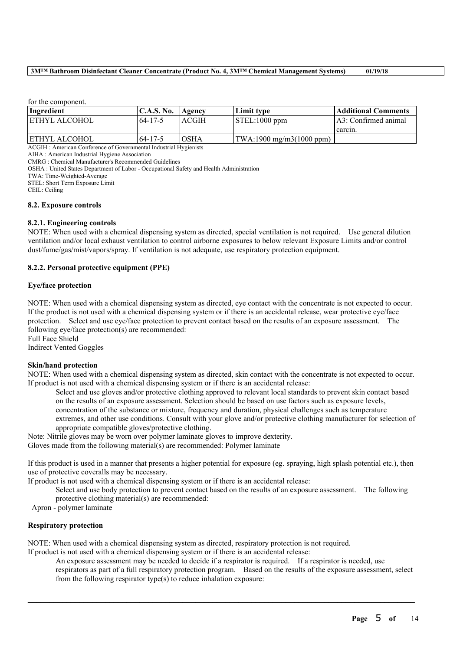for the component.

| Ingredient     | 'C.A.S. No.   | Agency | Limit type                                   | Additional Comments   |
|----------------|---------------|--------|----------------------------------------------|-----------------------|
| IETHYL ALCOHOL | 64-17-5       | ACGIH  | STEL:1000 ppm                                | LA3: Confirmed animal |
|                |               |        |                                              | carcin.               |
| ETHYL ALCOHOL  | $64 - 17 - 5$ | IOSHA  | $ TWA:1900 \text{ mg/m}3(1000 \text{ ppm}) $ |                       |

ACGIH : American Conference of Governmental Industrial Hygienists

AIHA : American Industrial Hygiene Association

CMRG : Chemical Manufacturer's Recommended Guidelines

OSHA : United States Department of Labor - Occupational Safety and Health Administration

TWA: Time-Weighted-Average

STEL: Short Term Exposure Limit

CEIL: Ceiling

#### **8.2. Exposure controls**

#### **8.2.1. Engineering controls**

NOTE: When used with a chemical dispensing system as directed, special ventilation is not required. Use general dilution ventilation and/or local exhaust ventilation to control airborne exposures to below relevant Exposure Limits and/or control dust/fume/gas/mist/vapors/spray. If ventilation is not adequate, use respiratory protection equipment.

#### **8.2.2. Personal protective equipment (PPE)**

#### **Eye/face protection**

NOTE: When used with a chemical dispensing system as directed, eye contact with the concentrate is not expected to occur. If the product is not used with a chemical dispensing system or if there is an accidental release, wear protective eye/face protection. Select and use eye/face protection to prevent contact based on the results of an exposure assessment. The following eye/face protection(s) are recommended:

Full Face Shield

Indirect Vented Goggles

#### **Skin/hand protection**

NOTE: When used with a chemical dispensing system as directed, skin contact with the concentrate is not expected to occur. If product is not used with a chemical dispensing system or if there is an accidental release:

Select and use gloves and/or protective clothing approved to relevant local standards to prevent skin contact based on the results of an exposure assessment. Selection should be based on use factors such as exposure levels, concentration of the substance or mixture, frequency and duration, physical challenges such as temperature extremes, and other use conditions. Consult with your glove and/or protective clothing manufacturer for selection of appropriate compatible gloves/protective clothing.

Note: Nitrile gloves may be worn over polymer laminate gloves to improve dexterity.

Gloves made from the following material(s) are recommended: Polymer laminate

If this product is used in a manner that presents a higher potential for exposure (eg. spraying, high splash potential etc.), then use of protective coveralls may be necessary.

If product is not used with a chemical dispensing system or if there is an accidental release:

Select and use body protection to prevent contact based on the results of an exposure assessment. The following protective clothing material(s) are recommended:

Apron - polymer laminate

#### **Respiratory protection**

NOTE: When used with a chemical dispensing system as directed, respiratory protection is not required.

If product is not used with a chemical dispensing system or if there is an accidental release:

An exposure assessment may be needed to decide if a respirator is required. If a respirator is needed, use respirators as part of a full respiratory protection program. Based on the results of the exposure assessment, select from the following respirator type(s) to reduce inhalation exposure: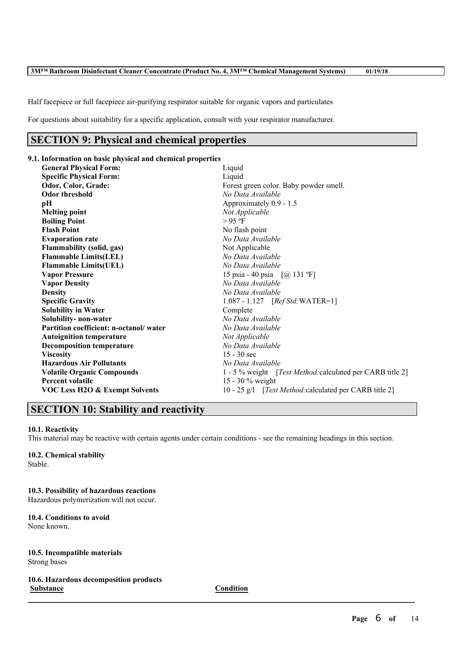Half facepiece or full facepiece air-purifying respirator suitable for organic vapors and particulates

For questions about suitability for a specific application, consult with your respirator manufacturer.

## **SECTION 9: Physical and chemical properties**

## **9.1. Information on basic physical and chemical properties**

| <b>General Physical Form:</b>          | Liquid                                                             |  |
|----------------------------------------|--------------------------------------------------------------------|--|
| <b>Specific Physical Form:</b>         | Liquid                                                             |  |
| Odor, Color, Grade:                    | Forest green color. Baby powder smell.                             |  |
| <b>Odor threshold</b>                  | No Data Available                                                  |  |
| pН                                     | Approximately 0.9 - 1.5                                            |  |
| <b>Melting point</b>                   | Not Applicable                                                     |  |
| <b>Boiling Point</b>                   | $>95$ °F                                                           |  |
| <b>Flash Point</b>                     | No flash point                                                     |  |
| <b>Evaporation rate</b>                | No Data Available                                                  |  |
| Flammability (solid, gas)              | Not Applicable                                                     |  |
| <b>Flammable Limits(LEL)</b>           | No Data Available                                                  |  |
| <b>Flammable Limits(UEL)</b>           | No Data Available                                                  |  |
| <b>Vapor Pressure</b>                  | 15 psia - 40 psia $[@]$ 131 °F]                                    |  |
| <b>Vapor Density</b>                   | No Data Available                                                  |  |
| <b>Density</b>                         | No Data Available                                                  |  |
| <b>Specific Gravity</b>                | $1.087 - 1.127$ [ <i>Ref Std:</i> WATER=1]                         |  |
| <b>Solubility in Water</b>             | Complete                                                           |  |
| Solubility- non-water                  | No Data Available                                                  |  |
| Partition coefficient: n-octanol/water | No Data Available                                                  |  |
| <b>Autoignition temperature</b>        | Not Applicable                                                     |  |
| <b>Decomposition temperature</b>       | No Data Available                                                  |  |
| <b>Viscosity</b>                       | $15 - 30$ sec                                                      |  |
| <b>Hazardous Air Pollutants</b>        | No Data Available                                                  |  |
| <b>Volatile Organic Compounds</b>      | 1 - 5 % weight [ <i>Test Method</i> : calculated per CARB title 2] |  |
| <b>Percent volatile</b>                | 15 - 30 % weight                                                   |  |
| VOC Less H2O & Exempt Solvents         | 10 - 25 g/l [ <i>Test Method:</i> calculated per CARB title 2]     |  |
|                                        |                                                                    |  |

## **SECTION 10: Stability and reactivity**

#### **10.1. Reactivity**

This material may be reactive with certain agents under certain conditions - see the remaining headings in this section.

# **10.2. Chemical stability**

Stable.

## **10.3. Possibility of hazardous reactions**

Hazardous polymerization will not occur.

#### **10.4. Conditions to avoid** None known.

#### **10.5. Incompatible materials** Strong bases

**10.6. Hazardous decomposition products Substance Condition**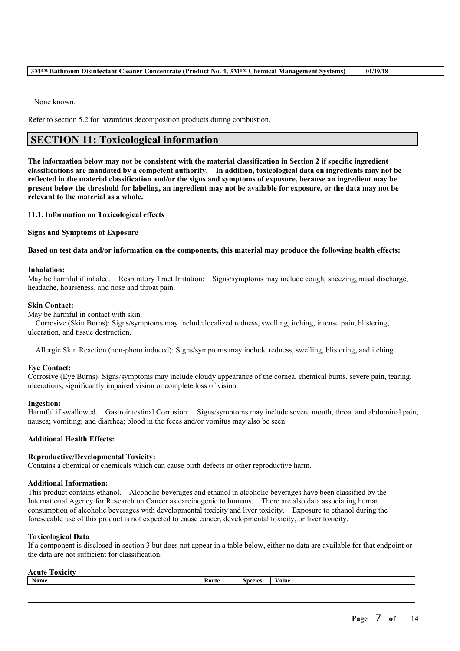None known.

Refer to section 5.2 for hazardous decomposition products during combustion.

## **SECTION 11: Toxicological information**

The information below may not be consistent with the material classification in Section 2 if specific ingredient **classifications are mandated by a competent authority. In addition, toxicological data on ingredients may not be** reflected in the material classification and/or the signs and symptoms of exposure, because an ingredient may be present below the threshold for labeling, an ingredient may not be available for exposure, or the data may not be **relevant to the material as a whole.**

**11.1. Information on Toxicological effects**

**Signs and Symptoms of Exposure**

#### Based on test data and/or information on the components, this material may produce the following health effects:

#### **Inhalation:**

May be harmful if inhaled. Respiratory Tract Irritation: Signs/symptoms may include cough, sneezing, nasal discharge, headache, hoarseness, and nose and throat pain.

#### **Skin Contact:**

May be harmful in contact with skin.

Corrosive (Skin Burns): Signs/symptoms may include localized redness, swelling, itching, intense pain, blistering, ulceration, and tissue destruction.

Allergic Skin Reaction (non-photo induced): Signs/symptoms may include redness, swelling, blistering, and itching.

#### **Eye Contact:**

Corrosive (Eye Burns): Signs/symptoms may include cloudy appearance of the cornea, chemical burns, severe pain, tearing, ulcerations, significantly impaired vision or complete loss of vision.

#### **Ingestion:**

Harmful if swallowed. Gastrointestinal Corrosion: Signs/symptoms may include severe mouth, throat and abdominal pain; nausea; vomiting; and diarrhea; blood in the feces and/or vomitus may also be seen.

#### **Additional Health Effects:**

#### **Reproductive/Developmental Toxicity:**

Contains a chemical or chemicals which can cause birth defects or other reproductive harm.

#### **Additional Information:**

This product contains ethanol. Alcoholic beverages and ethanol in alcoholic beverages have been classified by the International Agency for Research on Cancer as carcinogenic to humans. There are also data associating human consumption of alcoholic beverages with developmental toxicity and liver toxicity. Exposure to ethanol during the foreseeable use of this product is not expected to cause cancer, developmental toxicity, or liver toxicity.

#### **Toxicological Data**

If a component is disclosed in section 3 but does not appear in a table below, either no data are available for that endpoint or the data are not sufficient for classification.

|                                                   | ____ |
|---------------------------------------------------|------|
| <b>Name</b><br>$\sim$<br>Route<br>alue<br>Snecies |      |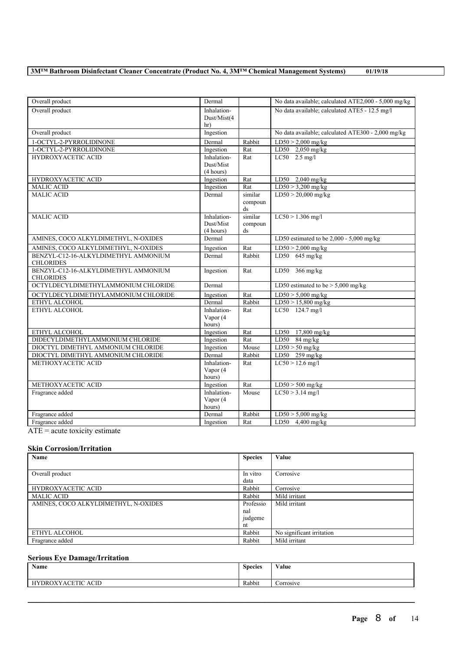| Overall product                                          | Dermal                                |                                              | No data available; calculated ATE2,000 - 5,000 mg/kg |
|----------------------------------------------------------|---------------------------------------|----------------------------------------------|------------------------------------------------------|
| Overall product                                          | Inhalation-<br>Dust/Mist(4<br>hr)     |                                              | No data available; calculated ATE5 - 12.5 mg/l       |
| Overall product                                          | Ingestion                             |                                              | No data available; calculated ATE300 - 2,000 mg/kg   |
| 1-OCTYL-2-PYRROLIDINONE                                  | Dermal                                | Rabbit                                       | $LD50 > 2,000$ mg/kg                                 |
| 1-OCTYL-2-PYRROLIDINONE                                  | Ingestion                             | Rat                                          | LD50 2,050 mg/kg                                     |
| <b>HYDROXYACETIC ACID</b>                                | Inhalation-<br>Dust/Mist<br>(4 hours) | Rat                                          | $LC50$ 2.5 mg/l                                      |
| HYDROXYACETIC ACID                                       | Ingestion                             | Rat                                          | LD50 2,040 mg/kg                                     |
| <b>MALIC ACID</b>                                        | Ingestion                             | Rat                                          | $LD50 > 3,200$ mg/kg                                 |
| <b>MALIC ACID</b>                                        | Dermal                                | similar<br>compoun<br>$\mathrm{d}\mathrm{s}$ | $LD50 > 20,000$ mg/kg                                |
| <b>MALIC ACID</b>                                        | Inhalation-<br>Dust/Mist<br>(4 hours) | similar<br>compoun<br>ds                     | $LC50 > 1.306$ mg/l                                  |
| AMINES, COCO ALKYLDIMETHYL, N-OXIDES                     | Dermal                                |                                              | LD50 estimated to be $2,000 - 5,000$ mg/kg           |
| AMINES, COCO ALKYLDIMETHYL, N-OXIDES                     | Ingestion                             | Rat                                          | $LD50 > 2,000$ mg/kg                                 |
| BENZYL-C12-16-ALKYLDIMETHYL AMMONIUM<br><b>CHLORIDES</b> | Dermal                                | Rabbit                                       | LD50 $645$ mg/kg                                     |
| BENZYL-C12-16-ALKYLDIMETHYL AMMONIUM<br><b>CHLORIDES</b> | Ingestion                             | Rat                                          | LD50 366 mg/kg                                       |
| OCTYLDECYLDIMETHYLAMMONIUM CHLORIDE                      | Dermal                                |                                              | LD50 estimated to be $> 5,000$ mg/kg                 |
| OCTYLDECYLDIMETHYLAMMONIUM CHLORIDE                      | Ingestion                             | Rat                                          | $LD50 > 5,000$ mg/kg                                 |
| ETHYL ALCOHOL                                            | Dermal                                | Rabbit                                       | $LD50 > 15,800$ mg/kg                                |
| ETHYL ALCOHOL                                            | Inhalation-<br>Vapor (4<br>hours)     | Rat                                          | LC50 124.7 mg/l                                      |
| ETHYL ALCOHOL                                            | Ingestion                             | Rat                                          | LD50 17,800 mg/kg                                    |
| DIDECYLDIMETHYLAMMONIUM CHLORIDE                         | Ingestion                             | Rat                                          | $LD50$ 84 mg/kg                                      |
| DIOCTYL DIMETHYL AMMONIUM CHLORIDE                       | Ingestion                             | Mouse                                        | $LD50 > 50$ mg/kg                                    |
| DIOCTYL DIMETHYL AMMONIUM CHLORIDE                       | Dermal                                | Rabbit                                       | LD50 259 mg/kg                                       |
| METHOXYACETIC ACID                                       | Inhalation-                           | Rat                                          | $LC50 > 12.6$ mg/l                                   |
|                                                          | Vapor (4                              |                                              |                                                      |
|                                                          | hours)                                |                                              |                                                      |
| METHOXYACETIC ACID                                       | Ingestion                             | Rat                                          | $LD50 > 500$ mg/kg                                   |
| Fragrance added                                          | Inhalation-<br>Vapor (4<br>hours)     | Mouse                                        | $LC50 > 3.14$ mg/l                                   |
| Fragrance added                                          | Dermal                                | Rabbit                                       | $LD50 > 5,000$ mg/kg                                 |
| Fragrance added                                          | Ingestion                             | Rat                                          | LD50 $4,400$ mg/kg                                   |
|                                                          |                                       |                                              |                                                      |

ATE = acute toxicity estimate

### **Skin Corrosion/Irritation**

| Name                                 | <b>Species</b> | Value                     |
|--------------------------------------|----------------|---------------------------|
|                                      |                |                           |
| Overall product                      | In vitro       | Corrosive                 |
|                                      | data           |                           |
| HYDROXYACETIC ACID                   | Rabbit         | Corrosive                 |
| <b>MALIC ACID</b>                    | Rabbit         | Mild irritant             |
| AMINES, COCO ALKYLDIMETHYL, N-OXIDES | Professio      | Mild irritant             |
|                                      | nal            |                           |
|                                      | judgeme        |                           |
|                                      | nt             |                           |
| ETHYL ALCOHOL                        | Rabbit         | No significant irritation |
| Fragrance added                      | Rabbit         | Mild irritant             |

### **Serious Eye Damage/Irritation**

| Name                                   | <b>Species</b> | Value     |
|----------------------------------------|----------------|-----------|
| ACID<br><b>DROXYACETIC</b><br>$\Delta$ | Rabbit         | Corrosive |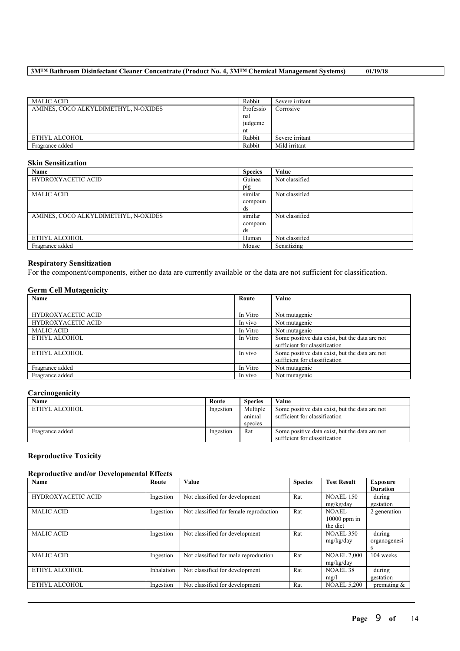| MALIC ACID                           | Rabbit    | Severe irritant |
|--------------------------------------|-----------|-----------------|
| AMINES, COCO ALKYLDIMETHYL, N-OXIDES | Professio | Corrosive       |
|                                      | nal       |                 |
|                                      | judgeme   |                 |
|                                      | nt        |                 |
| ETHYL ALCOHOL                        | Rabbit    | Severe irritant |
| Fragrance added                      | Rabbit    | Mild irritant   |

### **Skin Sensitization**

| Name                                 | <b>Species</b> | Value          |
|--------------------------------------|----------------|----------------|
| HYDROXYACETIC ACID                   | Guinea         | Not classified |
|                                      | pig            |                |
| <b>MALIC ACID</b>                    | similar        | Not classified |
|                                      | compoun        |                |
|                                      | ds             |                |
| AMINES, COCO ALKYLDIMETHYL, N-OXIDES | similar        | Not classified |
|                                      | compoun        |                |
|                                      | ds             |                |
| ETHYL ALCOHOL                        | Human          | Not classified |
| Fragrance added                      | Mouse          | Sensitizing    |

### **Respiratory Sensitization**

For the component/components, either no data are currently available or the data are not sufficient for classification.

### **Germ Cell Mutagenicity**

| Name                      | Route    | Value                                                                           |
|---------------------------|----------|---------------------------------------------------------------------------------|
|                           |          |                                                                                 |
| <b>HYDROXYACETIC ACID</b> | In Vitro | Not mutagenic                                                                   |
| <b>HYDROXYACETIC ACID</b> | In vivo  | Not mutagenic                                                                   |
| <b>MALIC ACID</b>         | In Vitro | Not mutagenic                                                                   |
| ETHYL ALCOHOL             | In Vitro | Some positive data exist, but the data are not<br>sufficient for classification |
| ETHYL ALCOHOL             | In vivo  | Some positive data exist, but the data are not<br>sufficient for classification |
| Fragrance added           | In Vitro | Not mutagenic                                                                   |
| Fragrance added           | In vivo  | Not mutagenic                                                                   |

### **Carcinogenicity**

| Name            | Route     | <b>Species</b>                | Value                                                                           |
|-----------------|-----------|-------------------------------|---------------------------------------------------------------------------------|
| ETHYL ALCOHOL   | Ingestion | Multiple<br>anımal<br>species | Some positive data exist, but the data are not<br>sufficient for classification |
| Fragrance added | Ingestion | Rat                           | Some positive data exist, but the data are not<br>sufficient for classification |

### **Reproductive Toxicity**

### **Reproductive and/or Developmental Effects**

| Name                      | Route      | <b>Value</b>                           | <b>Species</b> | <b>Test Result</b> | <b>Exposure</b> |
|---------------------------|------------|----------------------------------------|----------------|--------------------|-----------------|
|                           |            |                                        |                |                    | <b>Duration</b> |
| <b>HYDROXYACETIC ACID</b> | Ingestion  | Not classified for development         | Rat            | <b>NOAEL 150</b>   | during          |
|                           |            |                                        |                | mg/kg/day          | gestation       |
| <b>MALIC ACID</b>         | Ingestion  | Not classified for female reproduction | Rat            | NOAEL              | 2 generation    |
|                           |            |                                        |                | $10000$ ppm in     |                 |
|                           |            |                                        |                | the diet           |                 |
| <b>MALIC ACID</b>         | Ingestion  | Not classified for development         | Rat            | <b>NOAEL 350</b>   | during          |
|                           |            |                                        |                | mg/kg/day          | organogenesi    |
|                           |            |                                        |                |                    | s               |
| <b>MALIC ACID</b>         | Ingestion  | Not classified for male reproduction   | Rat            | <b>NOAEL 2,000</b> | 104 weeks       |
|                           |            |                                        |                | mg/kg/day          |                 |
| ETHYL ALCOHOL             | Inhalation | Not classified for development         | Rat            | <b>NOAEL 38</b>    | during          |
|                           |            |                                        |                | mg/l               | gestation       |
| ETHYL ALCOHOL             | Ingestion  | Not classified for development         | Rat            | <b>NOAEL 5.200</b> | premating $\&$  |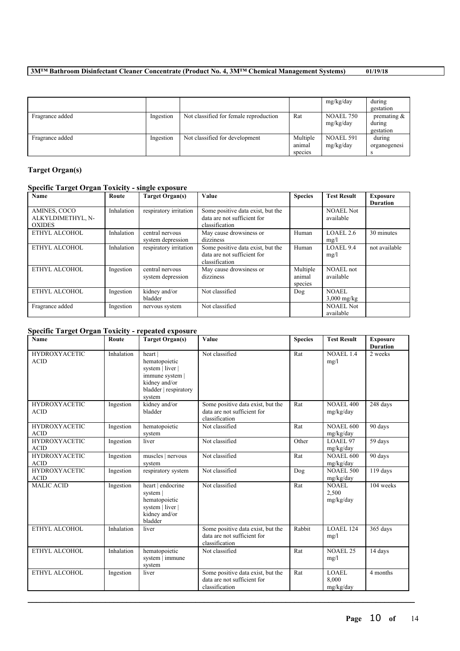|                 |           |                                        |                               | mg/kg/day                     | during<br>gestation                   |
|-----------------|-----------|----------------------------------------|-------------------------------|-------------------------------|---------------------------------------|
| Fragrance added | Ingestion | Not classified for female reproduction | Rat                           | <b>NOAEL 750</b><br>mg/kg/day | premating $\&$<br>during<br>gestation |
| Fragrance added | Ingestion | Not classified for development         | Multiple<br>animal<br>species | NOAEL 591<br>mg/kg/day        | during<br>organogenesi                |

## **Target Organ(s)**

## **Specific Target Organ Toxicity - single exposure**

| Name                                               | Route      | <b>Target Organ(s)</b>               | Value                                                                              | <b>Species</b>                | <b>Test Result</b>            | <b>Exposure</b><br><b>Duration</b> |
|----------------------------------------------------|------------|--------------------------------------|------------------------------------------------------------------------------------|-------------------------------|-------------------------------|------------------------------------|
| AMINES, COCO<br>ALKYLDIMETHYL, N-<br><b>OXIDES</b> | Inhalation | respiratory irritation               | Some positive data exist, but the<br>data are not sufficient for<br>classification |                               | NOAEL Not<br>available        |                                    |
| ETHYL ALCOHOL                                      | Inhalation | central nervous<br>system depression | May cause drowsiness or<br>dizziness                                               | Human                         | LOAEL 2.6<br>mg/l             | 30 minutes                         |
| ETHYL ALCOHOL                                      | Inhalation | respiratory irritation               | Some positive data exist, but the<br>data are not sufficient for<br>classification | Human                         | LOAEL 9.4<br>mg/l             | not available                      |
| ETHYL ALCOHOL                                      | Ingestion  | central nervous<br>system depression | May cause drowsiness or<br>dizziness                                               | Multiple<br>animal<br>species | NOAEL not<br>available        |                                    |
| ETHYL ALCOHOL                                      | Ingestion  | kidney and/or<br>bladder             | Not classified                                                                     | Dog                           | NOAEL<br>$3,000$ mg/kg        |                                    |
| Fragrance added                                    | Ingestion  | nervous system                       | Not classified                                                                     |                               | <b>NOAEL Not</b><br>available |                                    |

## **Specific Target Organ Toxicity - repeated exposure**

| Name                                | Route      | <b>Target Organ(s)</b>                                                                                              | Value                                                                              | <b>Species</b> | <b>Test Result</b>                 | <b>Exposure</b>            |
|-------------------------------------|------------|---------------------------------------------------------------------------------------------------------------------|------------------------------------------------------------------------------------|----------------|------------------------------------|----------------------------|
| <b>HYDROXYACETIC</b><br><b>ACID</b> | Inhalation | heart  <br>hematopoietic<br>system   liver  <br>immune system  <br>kidney and/or<br>bladder   respiratory<br>system | Not classified                                                                     | Rat            | <b>NOAEL 1.4</b><br>mg/l           | <b>Duration</b><br>2 weeks |
| <b>HYDROXYACETIC</b><br><b>ACID</b> | Ingestion  | kidney and/or<br>bladder                                                                                            | Some positive data exist, but the<br>data are not sufficient for<br>classification | Rat            | <b>NOAEL 400</b><br>mg/kg/day      | 248 days                   |
| <b>HYDROXYACETIC</b><br><b>ACID</b> | Ingestion  | hematopoietic<br>system                                                                                             | Not classified                                                                     | Rat            | <b>NOAEL 600</b><br>mg/kg/day      | 90 days                    |
| <b>HYDROXYACETIC</b><br><b>ACID</b> | Ingestion  | liver                                                                                                               | Not classified                                                                     | Other          | LOAEL 97<br>mg/kg/day              | 59 days                    |
| <b>HYDROXYACETIC</b><br><b>ACID</b> | Ingestion  | muscles   nervous<br>system                                                                                         | Not classified                                                                     | Rat            | <b>NOAEL 600</b><br>mg/kg/day      | 90 days                    |
| <b>HYDROXYACETIC</b><br><b>ACID</b> | Ingestion  | respiratory system                                                                                                  | Not classified                                                                     | Dog            | <b>NOAEL 500</b><br>mg/kg/day      | 119 days                   |
| <b>MALIC ACID</b>                   | Ingestion  | heart   endocrine<br>system  <br>hematopoietic<br>system   liver  <br>kidney and/or<br>bladder                      | Not classified                                                                     | Rat            | NOAEL<br>2,500<br>mg/kg/day        | 104 weeks                  |
| ETHYL ALCOHOL                       | Inhalation | liver                                                                                                               | Some positive data exist, but the<br>data are not sufficient for<br>classification | Rabbit         | LOAEL 124<br>mg/l                  | 365 days                   |
| ETHYL ALCOHOL                       | Inhalation | hematopoietic<br>system   immune<br>system                                                                          | Not classified                                                                     | Rat            | <b>NOAEL 25</b><br>mg/l            | 14 days                    |
| ETHYL ALCOHOL                       | Ingestion  | liver                                                                                                               | Some positive data exist, but the<br>data are not sufficient for<br>classification | Rat            | <b>LOAEL</b><br>8.000<br>mg/kg/day | 4 months                   |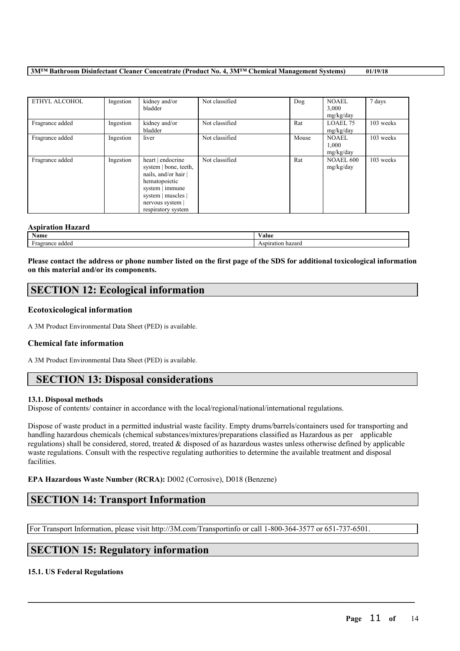| ETHYL ALCOHOL   | Ingestion | kidney and/or<br>bladder                                                                                                                                             | Not classified | Dog   | <b>NOAEL</b><br>3,000<br>mg/kg/day | 7 days    |
|-----------------|-----------|----------------------------------------------------------------------------------------------------------------------------------------------------------------------|----------------|-------|------------------------------------|-----------|
| Fragrance added | Ingestion | kidney and/or<br>bladder                                                                                                                                             | Not classified | Rat   | LOAEL 75<br>mg/kg/day              | 103 weeks |
| Fragrance added | Ingestion | liver                                                                                                                                                                | Not classified | Mouse | <b>NOAEL</b><br>1.000<br>mg/kg/day | 103 weeks |
| Fragrance added | Ingestion | heart   endocrine<br>system   bone, teeth,<br>nails, and/or hair  <br>hematopoietic<br>system   immune<br>system   muscles  <br>nervous system<br>respiratory system | Not classified | Rat   | <b>NOAEL 600</b><br>mg/kg/day      | 103 weeks |

#### **Aspiration Hazard**

| 119911 WHOM THEFTH W   |       |
|------------------------|-------|
| Name                   | ∨alue |
| e addec<br>rance<br>1a |       |

Please contact the address or phone number listed on the first page of the SDS for additional toxicological information **on this material and/or its components.**

## **SECTION 12: Ecological information**

### **Ecotoxicological information**

A 3M Product Environmental Data Sheet (PED) is available.

#### **Chemical fate information**

A 3M Product Environmental Data Sheet (PED) is available.

## **SECTION 13: Disposal considerations**

#### **13.1. Disposal methods**

Dispose of contents/ container in accordance with the local/regional/national/international regulations.

Dispose of waste product in a permitted industrial waste facility. Empty drums/barrels/containers used for transporting and handling hazardous chemicals (chemical substances/mixtures/preparations classified as Hazardous as per applicable regulations) shall be considered, stored, treated & disposed of as hazardous wastes unless otherwise defined by applicable waste regulations. Consult with the respective regulating authorities to determine the available treatment and disposal facilities.

 $\mathcal{L}_\mathcal{L} = \mathcal{L}_\mathcal{L} = \mathcal{L}_\mathcal{L} = \mathcal{L}_\mathcal{L} = \mathcal{L}_\mathcal{L} = \mathcal{L}_\mathcal{L} = \mathcal{L}_\mathcal{L} = \mathcal{L}_\mathcal{L} = \mathcal{L}_\mathcal{L} = \mathcal{L}_\mathcal{L} = \mathcal{L}_\mathcal{L} = \mathcal{L}_\mathcal{L} = \mathcal{L}_\mathcal{L} = \mathcal{L}_\mathcal{L} = \mathcal{L}_\mathcal{L} = \mathcal{L}_\mathcal{L} = \mathcal{L}_\mathcal{L}$ 

#### **EPA Hazardous Waste Number (RCRA):** D002 (Corrosive), D018 (Benzene)

## **SECTION 14: Transport Information**

For Transport Information, please visit http://3M.com/Transportinfo or call 1-800-364-3577 or 651-737-6501.

## **SECTION 15: Regulatory information**

## **15.1. US Federal Regulations**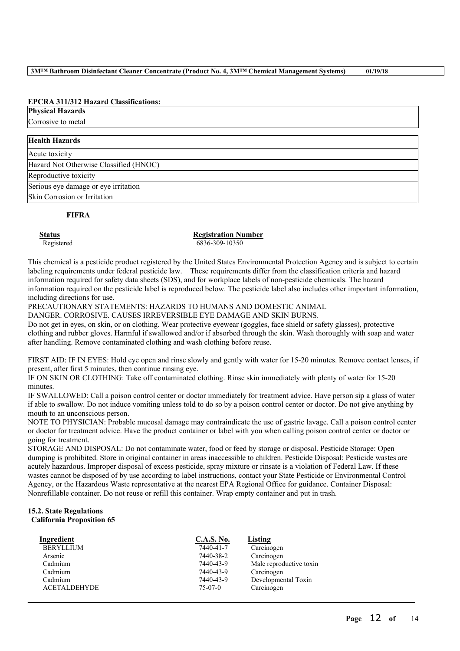## **EPCRA 311/312 Hazard Classifications:**

#### **Physical Hazards**

Corrosive to metal

| <b>Health Hazards</b>                  |  |
|----------------------------------------|--|
| Acute toxicity                         |  |
| Hazard Not Otherwise Classified (HNOC) |  |
| Reproductive toxicity                  |  |
| Serious eye damage or eye irritation   |  |
| Skin Corrosion or Irritation           |  |

### **FIFRA**

**Status Registration Number** Registered 6836-309-10350

This chemical is a pesticide product registered by the United States Environmental Protection Agency and is subject to certain labeling requirements under federal pesticide law. These requirements differ from the classification criteria and hazard information required for safety data sheets (SDS), and for workplace labels of non-pesticide chemicals. The hazard information required on the pesticide label is reproduced below. The pesticide label also includes other important information, including directions for use.

PRECAUTIONARY STATEMENTS: HAZARDS TO HUMANS AND DOMESTIC ANIMAL

DANGER. CORROSIVE. CAUSES IRREVERSIBLE EYE DAMAGE AND SKIN BURNS.

Do not get in eyes, on skin, or on clothing. Wear protective eyewear (goggles, face shield or safety glasses), protective clothing and rubber gloves. Harmful if swallowed and/or if absorbed through the skin. Wash thoroughly with soap and water after handling. Remove contaminated clothing and wash clothing before reuse.

FIRST AID: IF IN EYES: Hold eye open and rinse slowly and gently with water for 15-20 minutes. Remove contact lenses, if present, after first 5 minutes, then continue rinsing eye.

IF ON SKIN OR CLOTHING: Take off contaminated clothing. Rinse skin immediately with plenty of water for 15-20 minutes.

IF SWALLOWED: Call a poison control center or doctor immediately for treatment advice. Have person sip a glass of water if able to swallow. Do not induce vomiting unless told to do so by a poison control center or doctor. Do not give anything by mouth to an unconscious person.

NOTE TO PHYSICIAN: Probable mucosal damage may contraindicate the use of gastric lavage. Call a poison control center or doctor for treatment advice. Have the product container or label with you when calling poison control center or doctor or going for treatment.

STORAGE AND DISPOSAL: Do not contaminate water, food or feed by storage or disposal. Pesticide Storage: Open dumping is prohibited. Store in original container in areas inaccessible to children. Pesticide Disposal: Pesticide wastes are acutely hazardous. Improper disposal of excess pesticide, spray mixture or rinsate is a violation of Federal Law. If these wastes cannot be disposed of by use according to label instructions, contact your State Pesticide or Environmental Control Agency, or the Hazardous Waste representative at the nearest EPA Regional Office for guidance. Container Disposal: Nonrefillable container. Do not reuse or refill this container. Wrap empty container and put in trash.

 $\mathcal{L}_\mathcal{L} = \mathcal{L}_\mathcal{L} = \mathcal{L}_\mathcal{L} = \mathcal{L}_\mathcal{L} = \mathcal{L}_\mathcal{L} = \mathcal{L}_\mathcal{L} = \mathcal{L}_\mathcal{L} = \mathcal{L}_\mathcal{L} = \mathcal{L}_\mathcal{L} = \mathcal{L}_\mathcal{L} = \mathcal{L}_\mathcal{L} = \mathcal{L}_\mathcal{L} = \mathcal{L}_\mathcal{L} = \mathcal{L}_\mathcal{L} = \mathcal{L}_\mathcal{L} = \mathcal{L}_\mathcal{L} = \mathcal{L}_\mathcal{L}$ 

#### **15.2. State Regulations California Proposition 65**

| Ingredient          | <b>C.A.S. No.</b> | Listing                 |
|---------------------|-------------------|-------------------------|
| <b>BERYLLIUM</b>    | 7440-41-7         | Carcinogen              |
| Arsenic             | 7440-38-2         | Carcinogen              |
| Cadmium             | 7440-43-9         | Male reproductive toxin |
| Cadmium             | 7440-43-9         | Carcinogen              |
| Cadmium             | 7440-43-9         | Developmental Toxin     |
| <b>ACETALDEHYDE</b> | $75-07-0$         | Carcinogen              |